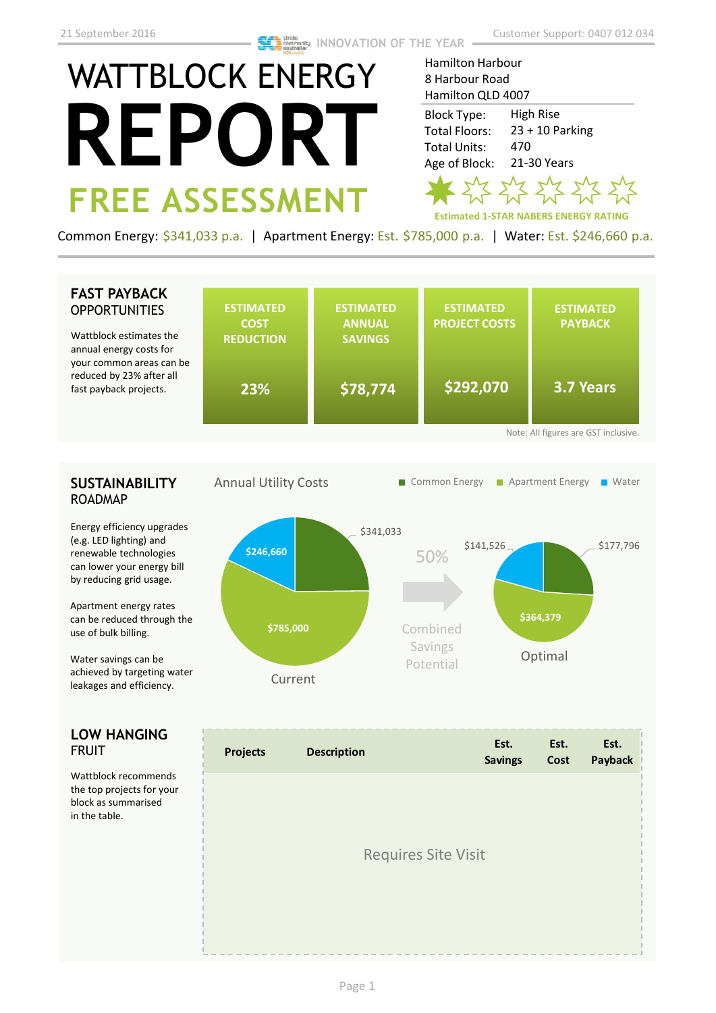## WATTBLOCK ENERGY **REPORT FREE ASSESSMENT**

Hamilton Harbour 8 Harbour Road Hamilton QLD 4007

High Rise 23 + 10 Parking 470 21-30 Years Block Type: Total Floors: Total Units: Age of Block:

 $7$  s/2 s/2 s/2 s

**Estimated 1-STAR NABERS ENERGY RATING**

Common Energy: \$341,033 p.a. | Apartment Energy: Est. \$785,000 p.a. | Water: Est. \$246,660 p.a.

## **SUSTAINABILITY** ROADMAP Energy efficiency upgrades (e.g. LED lighting) and renewable technologies can lower your energy bill by reducing grid usage. Apartment energy rates can be reduced through the use of bulk billing. Water savings can be achieved by targeting water leakages and efficiency. \$177,796 **\$364,379**  \$141,526 \$341,033 **\$785,000 \$246,660 FAST PAYBACK OPPORTUNITIES LOW HANGING**  FRUIT Wattblock recommends the top projects for your block as summarised in the table. Annual Utility Costs **ESTIMATED COST REDUCTION ESTIMATED ANNUAL SAVINGS ESTIMATED PROJECT COSTS ESTIMATED PAYBACK** Wattblock estimates the annual energy costs for your common areas can be reduced by 23% after all fast payback projects. **23% \$78,774 \$292,070 3.7 Years** Note: All figures are GST inclusive. 50% Current Combined Savings Potential **Optimal** Requires Site Visit ■ Common Energy ■ Apartment Energy ■ Water **Projects Description Est. Savings Est. Cost Est. Payback**